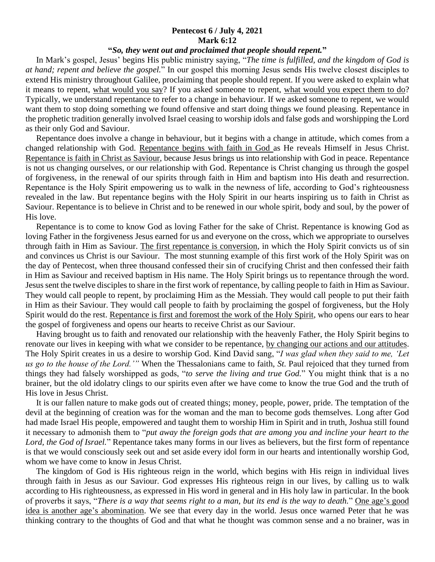## **Pentecost 6 / July 4, 2021 Mark 6:12**

## **"***So, they went out and proclaimed that people should repent.***"**

 In Mark's gospel, Jesus' begins His public ministry saying, "*The time is fulfilled, and the kingdom of God is at hand; repent and believe the gospel.*" In our gospel this morning Jesus sends His twelve closest disciples to extend His ministry throughout Galilee, proclaiming that people should repent. If you were asked to explain what it means to repent, what would you say? If you asked someone to repent, what would you expect them to do? Typically, we understand repentance to refer to a change in behaviour. If we asked someone to repent, we would want them to stop doing something we found offensive and start doing things we found pleasing. Repentance in the prophetic tradition generally involved Israel ceasing to worship idols and false gods and worshipping the Lord as their only God and Saviour.

 Repentance does involve a change in behaviour, but it begins with a change in attitude, which comes from a changed relationship with God. Repentance begins with faith in God as He reveals Himself in Jesus Christ. Repentance is faith in Christ as Saviour, because Jesus brings us into relationship with God in peace. Repentance is not us changing ourselves, or our relationship with God. Repentance is Christ changing us through the gospel of forgiveness, in the renewal of our spirits through faith in Him and baptism into His death and resurrection. Repentance is the Holy Spirit empowering us to walk in the newness of life, according to God's righteousness revealed in the law. But repentance begins with the Holy Spirit in our hearts inspiring us to faith in Christ as Saviour. Repentance is to believe in Christ and to be renewed in our whole spirit, body and soul, by the power of His love.

 Repentance is to come to know God as loving Father for the sake of Christ. Repentance is knowing God as loving Father in the forgiveness Jesus earned for us and everyone on the cross, which we appropriate to ourselves through faith in Him as Saviour. The first repentance is conversion, in which the Holy Spirit convicts us of sin and convinces us Christ is our Saviour. The most stunning example of this first work of the Holy Spirit was on the day of Pentecost, when three thousand confessed their sin of crucifying Christ and then confessed their faith in Him as Saviour and received baptism in His name. The Holy Spirit brings us to repentance through the word. Jesus sent the twelve disciples to share in the first work of repentance, by calling people to faith in Him as Saviour. They would call people to repent, by proclaiming Him as the Messiah. They would call people to put their faith in Him as their Saviour. They would call people to faith by proclaiming the gospel of forgiveness, but the Holy Spirit would do the rest. Repentance is first and foremost the work of the Holy Spirit, who opens our ears to hear the gospel of forgiveness and opens our hearts to receive Christ as our Saviour.

 Having brought us to faith and renovated our relationship with the heavenly Father, the Holy Spirit begins to renovate our lives in keeping with what we consider to be repentance, by changing our actions and our attitudes. The Holy Spirit creates in us a desire to worship God. Kind David sang, "*I was glad when they said to me, 'Let us go to the house of the Lord.'"* When the Thessalonians came to faith, *St*. Paul rejoiced that they turned from things they had falsely worshipped as gods, "*to serve the living and true God.*" You might think that is a no brainer, but the old idolatry clings to our spirits even after we have come to know the true God and the truth of His love in Jesus Christ.

 It is our fallen nature to make gods out of created things; money, people, power, pride. The temptation of the devil at the beginning of creation was for the woman and the man to become gods themselves. Long after God had made Israel His people, empowered and taught them to worship Him in Spirit and in truth, Joshua still found it necessary to admonish them to "*put away the foreign gods that are among you and incline your heart to the Lord, the God of Israel.*" Repentance takes many forms in our lives as believers, but the first form of repentance is that we would consciously seek out and set aside every idol form in our hearts and intentionally worship God, whom we have come to know in Jesus Christ.

 The kingdom of God is His righteous reign in the world, which begins with His reign in individual lives through faith in Jesus as our Saviour. God expresses His righteous reign in our lives, by calling us to walk according to His righteousness, as expressed in His word in general and in His holy law in particular. In the book of proverbs it says, "*There is a way that seems right to a man, but its end is the way to death.*" One age's good idea is another age's abomination. We see that every day in the world. Jesus once warned Peter that he was thinking contrary to the thoughts of God and that what he thought was common sense and a no brainer, was in